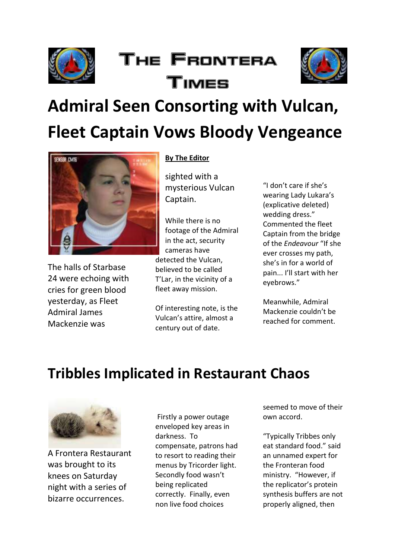

# The Frontera Times



# **Admiral Seen Consorting with Vulcan, Fleet Captain Vows Bloody Vengeance**



The halls of Starbase 24 were echoing with cries for green blood yesterday, as Fleet Admiral James Mackenzie was

#### **By The Editor**

sighted with a mysterious Vulcan Captain.

While there is no footage of the Admiral in the act, security cameras have detected the Vulcan, believed to be called T'Lar, in the vicinity of a fleet away mission.

Of interesting note, is the Vulcan's attire, almost a century out of date.

"I don't care if she's wearing Lady Lukara's (explicative deleted) wedding dress." Commented the fleet Captain from the bridge of the *Endeavour* "If she ever crosses my path, she's in for a world of pain... I'll start with her eyebrows."

Meanwhile, Admiral Mackenzie couldn't be reached for comment.

### **Tribbles Implicated in Restaurant Chaos**



A Frontera Restaurant was brought to its knees on Saturday night with a series of bizarre occurrences.

Firstly a power outage enveloped key areas in darkness. To compensate, patrons had to resort to reading their menus by Tricorder light. Secondly food wasn't being replicated correctly. Finally, even non live food choices

seemed to move of their own accord.

"Typically Tribbes only eat standard food." said an unnamed expert for the Fronteran food ministry. "However, if the replicator's protein synthesis buffers are not properly aligned, then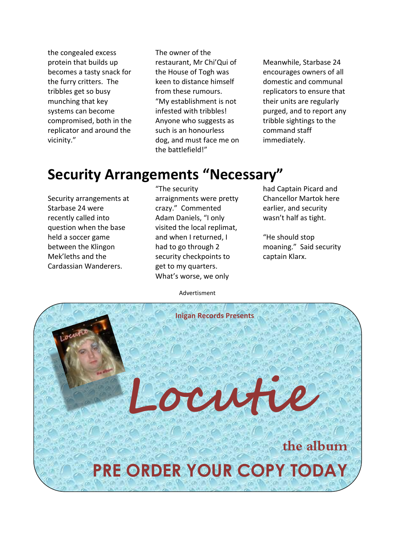the congealed excess protein that builds up becomes a tasty snack for the furry critters. The tribbles get so busy munching that key systems can become compromised, both in the replicator and around the vicinity."

The owner of the restaurant, Mr Chi'Qui of the House of Togh was keen to distance himself from these rumours. "My establishment is not infested with tribbles! Anyone who suggests as such is an honourless dog, and must face me on the battlefield!"

Meanwhile, Starbase 24 encourages owners of all domestic and communal replicators to ensure that their units are regularly purged, and to report any tribble sightings to the command staff immediately.

#### **Security Arrangements "Necessary"**

Security arrangements at Starbase 24 were recently called into question when the base held a soccer game between the Klingon Mek'leths and the Cardassian Wanderers.

"The security arraignments were pretty crazy." Commented Adam Daniels, "I only visited the local replimat, and when I returned, I had to go through 2 security checkpoints to get to my quarters. What's worse, we only

had Captain Picard and Chancellor Martok here earlier, and security wasn't half as tight.

"He should stop moaning." Said security captain Klarx.

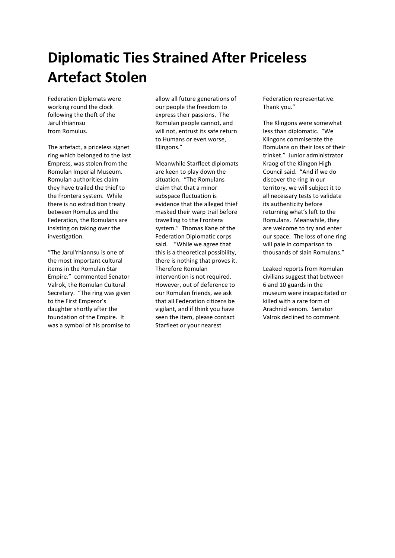# **Diplomatic Ties Strained After Priceless Artefact Stolen**

Federation Diplomats were working round the clock following the theft of the Jarul'rhiannsu from Romulus.

The artefact, a priceless signet ring which belonged to the last Empress, was stolen from the Romulan Imperial Museum. Romulan authorities claim they have trailed the thief to the Frontera system. While there is no extradition treaty between Romulus and the Federation, the Romulans are insisting on taking over the investigation.

"The Jarul'rhiannsu is one of the most important cultural items in the Romulan Star Empire." commented Senator Valrok, the Romulan Cultural Secretary. "The ring was given to the First Emperor's daughter shortly after the foundation of the Empire. It was a symbol of his promise to allow all future generations of our people the freedom to express their passions. The Romulan people cannot, and will not, entrust its safe return to Humans or even worse, Klingons."

Meanwhile Starfleet diplomats are keen to play down the situation. "The Romulans claim that that a minor subspace fluctuation is evidence that the alleged thief masked their warp trail before travelling to the Frontera system." Thomas Kane of the Federation Diplomatic corps said. "While we agree that this is a theoretical possibility, there is nothing that proves it. Therefore Romulan intervention is not required. However, out of deference to our Romulan friends, we ask that all Federation citizens be vigilant, and if think you have seen the item, please contact Starfleet or your nearest

Federation representative. Thank you."

The Klingons were somewhat less than diplomatic. "We Klingons commiserate the Romulans on their loss of their trinket." Junior administrator Kraog of the Klingon High Council said. "And if we do discover the ring in our territory, we will subject it to all necessary tests to validate its authenticity before returning what's left to the Romulans. Meanwhile, they are welcome to try and enter our space. The loss of one ring will pale in comparison to thousands of slain Romulans."

Leaked reports from Romulan civilians suggest that between 6 and 10 guards in the museum were incapacitated or killed with a rare form of Arachnid venom. Senator Valrok declined to comment.